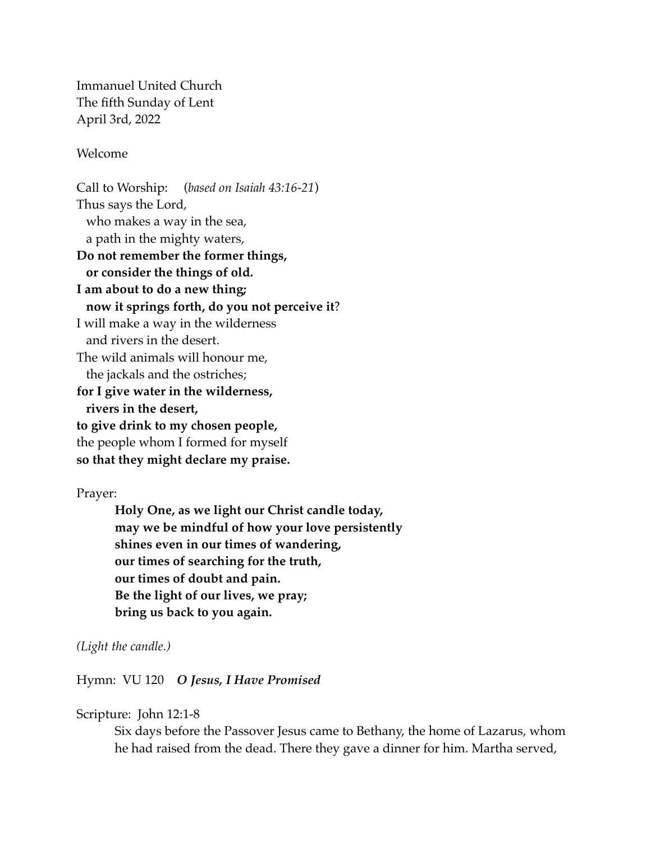Immanuel United Church The fifth Sunday of Lent April 3rd, 2022

Welcome

Call to Worship: (*based on Isaiah 43:16-21*) Thus says the Lord, who makes a way in the sea, a path in the mighty waters, **Do not remember the former things, or consider the things of old. I am about to do a new thing; now it springs forth, do you not perceive it**? I will make a way in the wilderness and rivers in the desert. The wild animals will honour me, the jackals and the ostriches; **for I give water in the wilderness, rivers in the desert, to give drink to my chosen people,**  the people whom I formed for myself **so that they might declare my praise.** 

Prayer:

**Holy One, as we light our Christ candle today, may we be mindful of how your love persistently shines even in our times of wandering, our times of searching for the truth, our times of doubt and pain. Be the light of our lives, we pray; bring us back to you again.** 

*(Light the candle.)*

Hymn: VU 120 *O Jesus, I Have Promised*

Scripture: John 12:1-8

Six days before the Passover Jesus came to Bethany, the home of Lazarus, whom he had raised from the dead. There they gave a dinner for him. Martha served,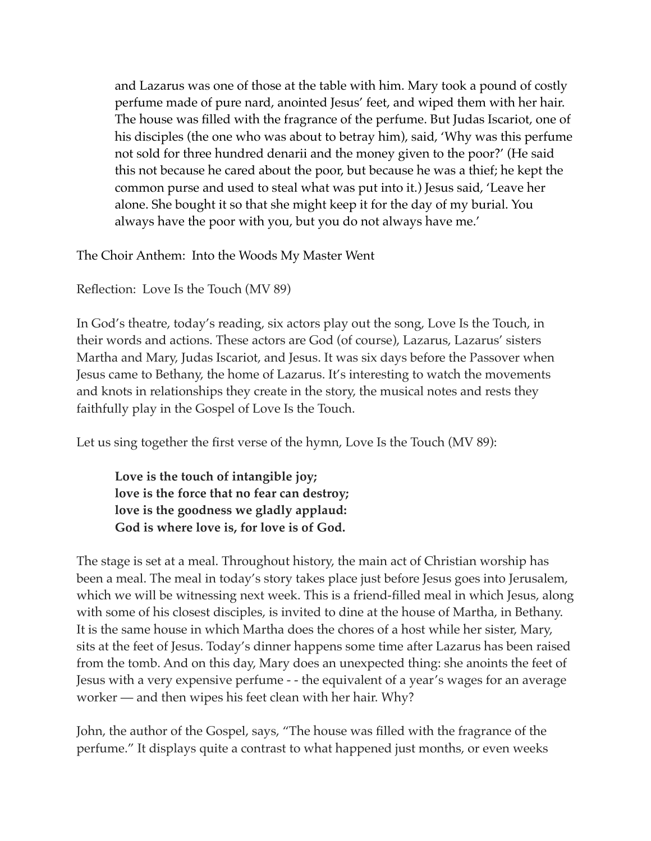and Lazarus was one of those at the table with him. Mary took a pound of costly perfume made of pure nard, anointed Jesus' feet, and wiped them with her hair. The house was filled with the fragrance of the perfume. But Judas Iscariot, one of his disciples (the one who was about to betray him), said, 'Why was this perfume not sold for three hundred denarii and the money given to the poor?' (He said this not because he cared about the poor, but because he was a thief; he kept the common purse and used to steal what was put into it.) Jesus said, 'Leave her alone. She bought it so that she might keep it for the day of my burial. You always have the poor with you, but you do not always have me.'

The Choir Anthem: Into the Woods My Master Went

Reflection: Love Is the Touch (MV 89)

In God's theatre, today's reading, six actors play out the song, Love Is the Touch, in their words and actions. These actors are God (of course), Lazarus, Lazarus' sisters Martha and Mary, Judas Iscariot, and Jesus. It was six days before the Passover when Jesus came to Bethany, the home of Lazarus. It's interesting to watch the movements and knots in relationships they create in the story, the musical notes and rests they faithfully play in the Gospel of Love Is the Touch.

Let us sing together the first verse of the hymn, Love Is the Touch (MV 89):

**Love is the touch of intangible joy; love is the force that no fear can destroy; love is the goodness we gladly applaud: God is where love is, for love is of God.**

The stage is set at a meal. Throughout history, the main act of Christian worship has been a meal. The meal in today's story takes place just before Jesus goes into Jerusalem, which we will be witnessing next week. This is a friend-filled meal in which Jesus, along with some of his closest disciples, is invited to dine at the house of Martha, in Bethany. It is the same house in which Martha does the chores of a host while her sister, Mary, sits at the feet of Jesus. Today's dinner happens some time after Lazarus has been raised from the tomb. And on this day, Mary does an unexpected thing: she anoints the feet of Jesus with a very expensive perfume - - the equivalent of a year's wages for an average worker — and then wipes his feet clean with her hair. Why?

John, the author of the Gospel, says, "The house was filled with the fragrance of the perfume." It displays quite a contrast to what happened just months, or even weeks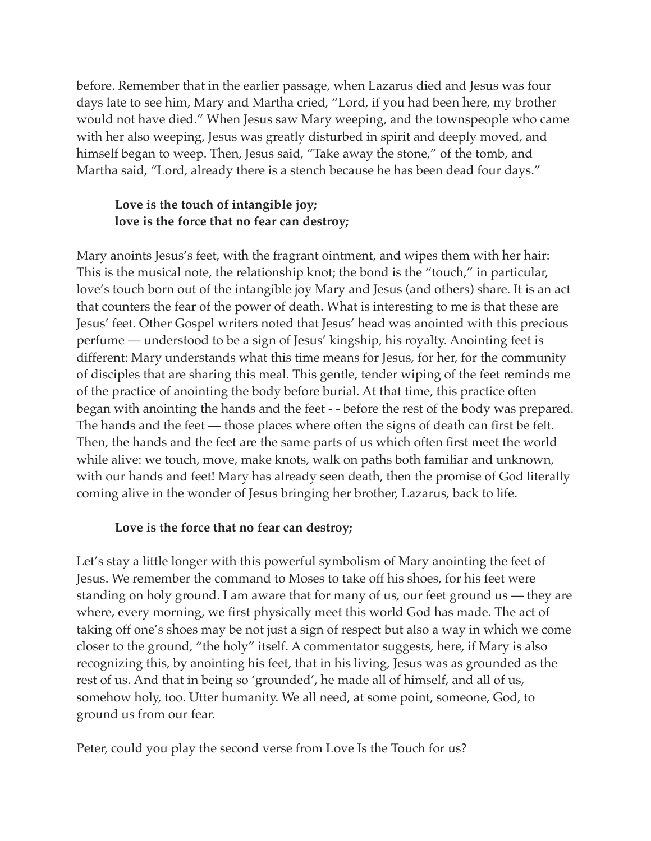before. Remember that in the earlier passage, when Lazarus died and Jesus was four days late to see him, Mary and Martha cried, "Lord, if you had been here, my brother would not have died." When Jesus saw Mary weeping, and the townspeople who came with her also weeping, Jesus was greatly disturbed in spirit and deeply moved, and himself began to weep. Then, Jesus said, "Take away the stone," of the tomb, and Martha said, "Lord, already there is a stench because he has been dead four days."

## **Love is the touch of intangible joy; love is the force that no fear can destroy;**

Mary anoints Jesus's feet, with the fragrant ointment, and wipes them with her hair: This is the musical note, the relationship knot; the bond is the "touch," in particular, love's touch born out of the intangible joy Mary and Jesus (and others) share. It is an act that counters the fear of the power of death. What is interesting to me is that these are Jesus' feet. Other Gospel writers noted that Jesus' head was anointed with this precious perfume — understood to be a sign of Jesus' kingship, his royalty. Anointing feet is different: Mary understands what this time means for Jesus, for her, for the community of disciples that are sharing this meal. This gentle, tender wiping of the feet reminds me of the practice of anointing the body before burial. At that time, this practice often began with anointing the hands and the feet - - before the rest of the body was prepared. The hands and the feet — those places where often the signs of death can first be felt. Then, the hands and the feet are the same parts of us which often first meet the world while alive: we touch, move, make knots, walk on paths both familiar and unknown, with our hands and feet! Mary has already seen death, then the promise of God literally coming alive in the wonder of Jesus bringing her brother, Lazarus, back to life.

## **Love is the force that no fear can destroy;**

Let's stay a little longer with this powerful symbolism of Mary anointing the feet of Jesus. We remember the command to Moses to take off his shoes, for his feet were standing on holy ground. I am aware that for many of us, our feet ground us — they are where, every morning, we first physically meet this world God has made. The act of taking off one's shoes may be not just a sign of respect but also a way in which we come closer to the ground, "the holy" itself. A commentator suggests, here, if Mary is also recognizing this, by anointing his feet, that in his living, Jesus was as grounded as the rest of us. And that in being so 'grounded', he made all of himself, and all of us, somehow holy, too. Utter humanity. We all need, at some point, someone, God, to ground us from our fear.

Peter, could you play the second verse from Love Is the Touch for us?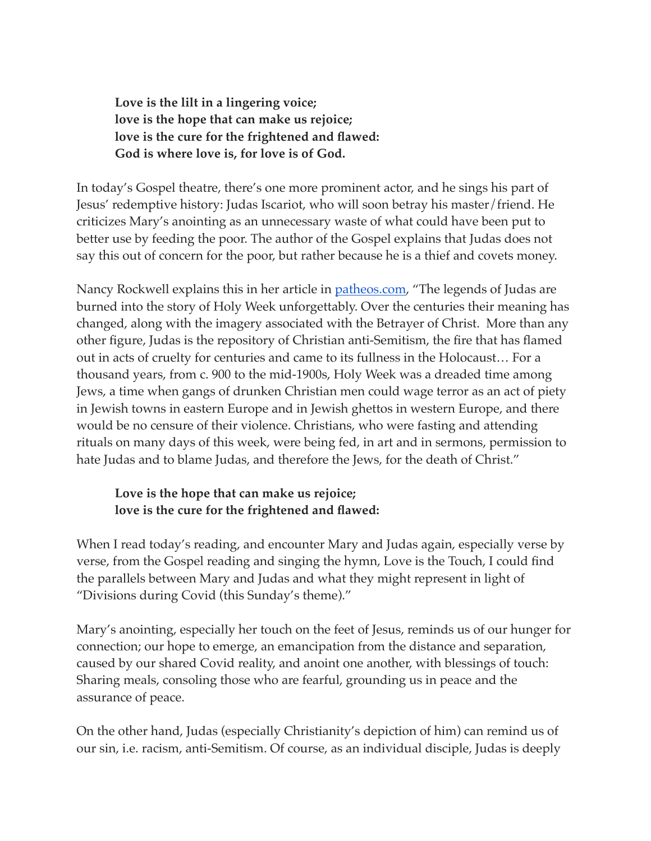**Love is the lilt in a lingering voice; love is the hope that can make us rejoice; love is the cure for the frightened and flawed: God is where love is, for love is of God.**

In today's Gospel theatre, there's one more prominent actor, and he sings his part of Jesus' redemptive history: Judas Iscariot, who will soon betray his master/friend. He criticizes Mary's anointing as an unnecessary waste of what could have been put to better use by feeding the poor. The author of the Gospel explains that Judas does not say this out of concern for the poor, but rather because he is a thief and covets money.

Nancy Rockwell explains this in her article in [patheos.com](http://patheos.com/), "The legends of Judas are burned into the story of Holy Week unforgettably. Over the centuries their meaning has changed, along with the imagery associated with the Betrayer of Christ. More than any other figure, Judas is the repository of Christian anti-Semitism, the fire that has flamed out in acts of cruelty for centuries and came to its fullness in the Holocaust… For a thousand years, from c. 900 to the mid-1900s, Holy Week was a dreaded time among Jews, a time when gangs of drunken Christian men could wage terror as an act of piety in Jewish towns in eastern Europe and in Jewish ghettos in western Europe, and there would be no censure of their violence. Christians, who were fasting and attending rituals on many days of this week, were being fed, in art and in sermons, permission to hate Judas and to blame Judas, and therefore the Jews, for the death of Christ."

## **Love is the hope that can make us rejoice; love is the cure for the frightened and flawed:**

When I read today's reading, and encounter Mary and Judas again, especially verse by verse, from the Gospel reading and singing the hymn, Love is the Touch, I could find the parallels between Mary and Judas and what they might represent in light of "Divisions during Covid (this Sunday's theme)."

Mary's anointing, especially her touch on the feet of Jesus, reminds us of our hunger for connection; our hope to emerge, an emancipation from the distance and separation, caused by our shared Covid reality, and anoint one another, with blessings of touch: Sharing meals, consoling those who are fearful, grounding us in peace and the assurance of peace.

On the other hand, Judas (especially Christianity's depiction of him) can remind us of our sin, i.e. racism, anti-Semitism. Of course, as an individual disciple, Judas is deeply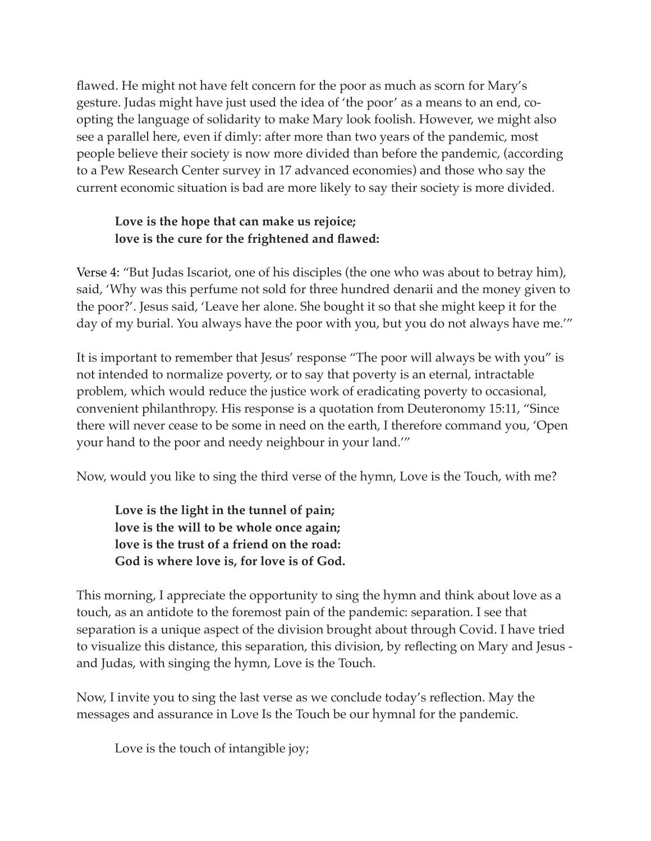flawed. He might not have felt concern for the poor as much as scorn for Mary's gesture. Judas might have just used the idea of 'the poor' as a means to an end, coopting the language of solidarity to make Mary look foolish. However, we might also see a parallel here, even if dimly: after more than two years of the pandemic, most people believe their society is now more divided than before the pandemic, (according to a Pew Research Center survey in 17 advanced economies) and those who say the current economic situation is bad are more likely to say their society is more divided.

## **Love is the hope that can make us rejoice; love is the cure for the frightened and flawed:**

Verse 4: "But Judas Iscariot, one of his disciples (the one who was about to betray him), said, 'Why was this perfume not sold for three hundred denarii and the money given to the poor?'. Jesus said, 'Leave her alone. She bought it so that she might keep it for the day of my burial. You always have the poor with you, but you do not always have me.'"

It is important to remember that Jesus' response "The poor will always be with you" is not intended to normalize poverty, or to say that poverty is an eternal, intractable problem, which would reduce the justice work of eradicating poverty to occasional, convenient philanthropy. His response is a quotation from Deuteronomy 15:11, "Since there will never cease to be some in need on the earth, I therefore command you, 'Open your hand to the poor and needy neighbour in your land.'"

Now, would you like to sing the third verse of the hymn, Love is the Touch, with me?

**Love is the light in the tunnel of pain; love is the will to be whole once again; love is the trust of a friend on the road: God is where love is, for love is of God.**

This morning, I appreciate the opportunity to sing the hymn and think about love as a touch, as an antidote to the foremost pain of the pandemic: separation. I see that separation is a unique aspect of the division brought about through Covid. I have tried to visualize this distance, this separation, this division, by reflecting on Mary and Jesus and Judas, with singing the hymn, Love is the Touch.

Now, I invite you to sing the last verse as we conclude today's reflection. May the messages and assurance in Love Is the Touch be our hymnal for the pandemic.

Love is the touch of intangible joy;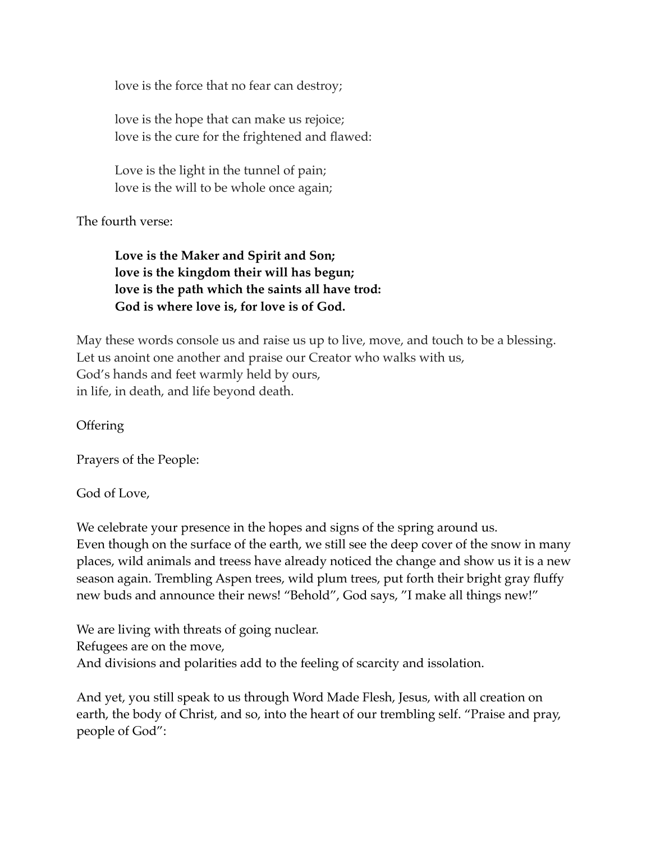love is the force that no fear can destroy;

love is the hope that can make us rejoice; love is the cure for the frightened and flawed:

Love is the light in the tunnel of pain; love is the will to be whole once again;

The fourth verse:

**Love is the Maker and Spirit and Son; love is the kingdom their will has begun; love is the path which the saints all have trod: God is where love is, for love is of God.** 

May these words console us and raise us up to live, move, and touch to be a blessing. Let us anoint one another and praise our Creator who walks with us, God's hands and feet warmly held by ours, in life, in death, and life beyond death.

**Offering** 

Prayers of the People:

God of Love,

We celebrate your presence in the hopes and signs of the spring around us. Even though on the surface of the earth, we still see the deep cover of the snow in many places, wild animals and treess have already noticed the change and show us it is a new season again. Trembling Aspen trees, wild plum trees, put forth their bright gray fluffy new buds and announce their news! "Behold", God says, "I make all things new!"

We are living with threats of going nuclear. Refugees are on the move, And divisions and polarities add to the feeling of scarcity and issolation.

And yet, you still speak to us through Word Made Flesh, Jesus, with all creation on earth, the body of Christ, and so, into the heart of our trembling self. "Praise and pray, people of God":